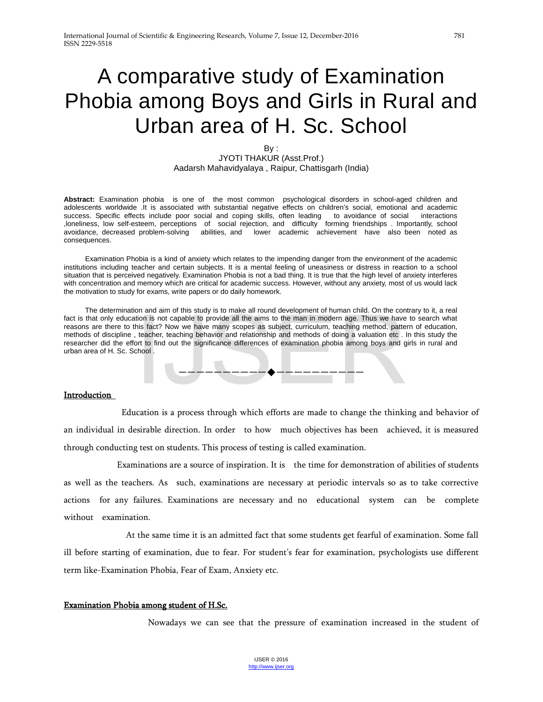# A comparative study of Examination Phobia among Boys and Girls in Rural and Urban area of H. Sc. School

#### By : JYOTI THAKUR (Asst.Prof.) Aadarsh Mahavidyalaya , Raipur, Chattisgarh (India)

**Abstract:** Examination phobia is one of the most common psychological disorders in school-aged children and adolescents worldwide .It is associated with substantial negative effects on children's social, emotional and academic success. Specific effects include poor social and coping skills, often leading to avoidance of social interactions ,loneliness, low self-esteem, perceptions of social rejection, and difficulty forming friendships . Importantly, school avoidance, decreased problem-solving abilities, and lower academic achievement have also been noted as consequences.

 Examination Phobia is a kind of anxiety which relates to the impending danger from the environment of the academic institutions including teacher and certain subjects. It is a mental feeling of uneasiness or distress in reaction to a school situation that is perceived negatively. Examination Phobia is not a bad thing. It is true that the high level of anxiety interferes with concentration and memory which are critical for academic success. However, without any anxiety, most of us would lack the motivation to study for exams, write papers or do daily homework.

 The determination and aim of this study is to make all round development of human child. On the contrary to it, a real fact is that only education is not capable to provide all the aims to the man in modern age. Thus we have to search what reasons are there to this fact? Now we have many scopes as subject, curriculum, teaching method, pattern of education, methods of discipline , teacher, teaching behavior and relationship and methods of doing a valuation etc . In this study the researcher did the effort to find out the significance differences of examination phobia among boys and girls in rural and urban area of H. Sc. School . Strain and other and out of the aims to the man in modern age. Thus we have the man is not capable to provide all the aims to the man in modern age. Thus we have the teacher, teaching behavior and relationship and methods



#### **Introduction**

 Education is a process through which efforts are made to change the thinking and behavior of an individual in desirable direction. In order to how much objectives has been achieved, it is measured through conducting test on students. This process of testing is called examination.

 Examinations are a source of inspiration. It is the time for demonstration of abilities of students as well as the teachers. As such, examinations are necessary at periodic intervals so as to take corrective actions for any failures. Examinations are necessary and no educational system can be complete without examination.

 At the same time it is an admitted fact that some students get fearful of examination. Some fall ill before starting of examination, due to fear. For student's fear for examination, psychologists use different term like-Examination Phobia, Fear of Exam, Anxiety etc.

#### Examination Phobia among student of H.Sc.

Nowadays we can see that the pressure of examination increased in the student of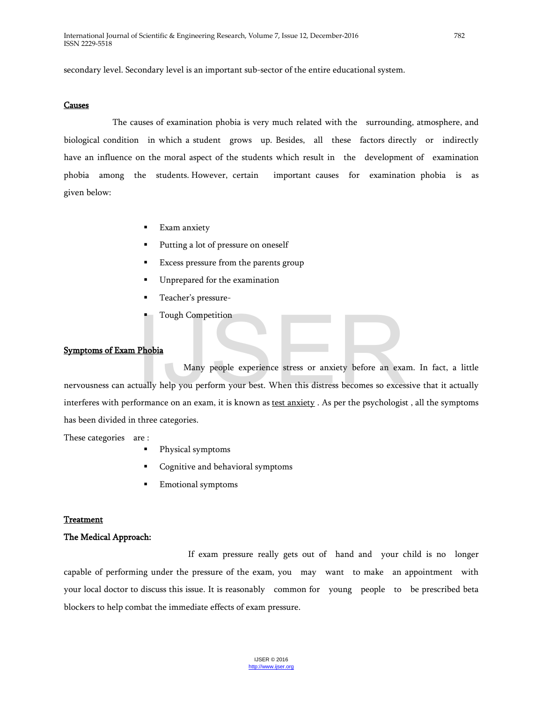secondary level. Secondary level is an important sub-sector of the entire educational system.

#### Causes

 The causes of examination phobia is very much related with the surrounding, atmosphere, and biological condition in which a student grows up. Besides, all these factors directly or indirectly have an influence on the moral aspect of the students which result in the development of examination phobia among the students. However, certain important causes for examination phobia is as given below:

- Exam anxiety
- Putting a lot of pressure on oneself
- Excess pressure from the parents group
- **Unprepared for the examination**
- Teacher's pressure-
- Tough Competition

#### Symptoms of Exam Phobia

 Many people experience stress or anxiety before an exam. In fact, a little nervousness can actually help you perform your best. When this distress becomes so excessive that it actually interferes with performance on an exam, it is known as test anxiety . As per the psychologist , all the symptoms has been divided in three categories. III Tough Competition<br>
III Tough Competition<br>
Many people experience stress or anxiety before an exametually help you perform your best. When this distress becomes so excess<br>
Sormance on an exam, it is known as <u>test anxie</u>

These categories are :

- Physical symptoms
- Cognitive and behavioral symptoms
- **Emotional symptoms**

#### Treatment

#### The Medical Approach:

 If exam pressure really gets out of hand and your child is no longer capable of performing under the pressure of the exam, you may want to make an appointment with your local doctor to discuss this issue. It is reasonably common for young people to be prescribed beta blockers to help combat the immediate effects of exam pressure.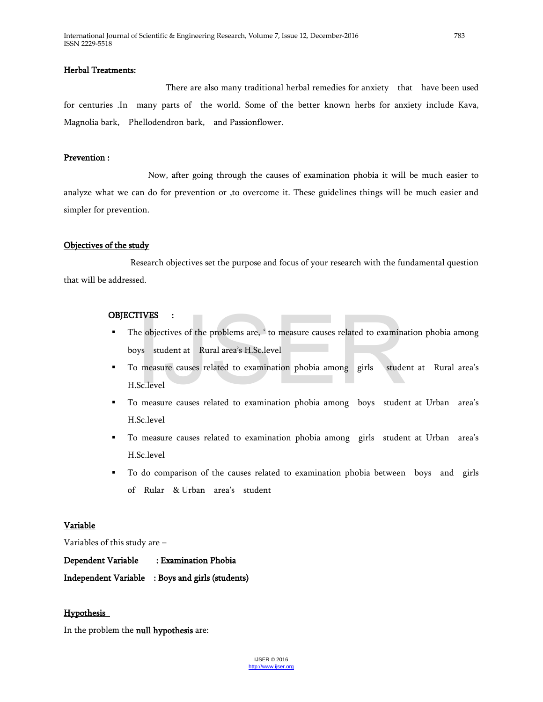# Herbal Treatments:

 There are also many traditional herbal remedies for anxiety that have been used for centuries .In many parts of the world. Some of the better known herbs for anxiety include Kava, Magnolia bark, Phellodendron bark, and Passionflower.

#### Prevention :

 Now, after going through the causes of examination phobia it will be much easier to analyze what we can do for prevention or ,to overcome it. These guidelines things will be much easier and simpler for prevention.

#### Objectives of the study

 Research objectives set the purpose and focus of your research with the fundamental question that will be addressed.

#### OBJECTIVES :

- **The objectives of the problems are, ' to measure causes related to examination phobia among** boys student at Rural area's H.Sc.level
- To measure causes related to examination phobia among girls student at Rural area's H.Sc.level ITVES :<br>
ie objectives of the problems are, ' to measure causes related to examina<br>
ys student at Rural area's H.Sc.level<br>
p measure causes related to examination phobia among girls stude:<br>
Sc.level<br>
p measure causes relat
- To measure causes related to examination phobia among boys student at Urban area's H.Sc.level
- To measure causes related to examination phobia among girls student at Urban area's H.Sc.level
- To do comparison of the causes related to examination phobia between boys and girls of Rular & Urban area's student

#### Variable

Variables of this study are –

| Dependent Variable | : Examination Phobia                             |
|--------------------|--------------------------------------------------|
|                    | Independent Variable : Boys and girls (students) |

#### Hypothesis

In the problem the null hypothesis are: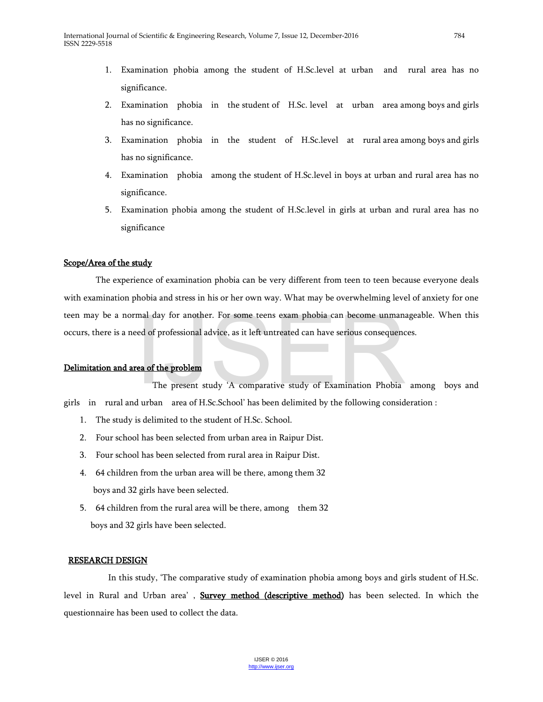- 1. Examination phobia among the student of H.Sc.level at urban and rural area has no significance.
- 2. Examination phobia in the student of H.Sc. level at urban area among boys and girls has no significance.
- 3. Examination phobia in the student of H.Sc.level at rural area among boys and girls has no significance.
- 4. Examination phobia among the student of H.Sc.level in boys at urban and rural area has no significance.
- 5. Examination phobia among the student of H.Sc.level in girls at urban and rural area has no significance

# Scope/Area of the study

The experience of examination phobia can be very different from teen to teen because everyone deals with examination phobia and stress in his or her own way. What may be overwhelming level of anxiety for one teen may be a normal day for another. For some teens exam phobia can become unmanageable. When this occurs, there is a need of professional advice, as it left untreated can have serious consequences. mal day for another. For some teens exam phobia can become unmana<br>red of professional advice, as it left untreated can have serious consequence<br>**rea of the problem**<br>The present study 'A comparative study of Examination Pho

# Delimitation and area of the problem

 The present study 'A comparative study of Examination Phobia among boys and girls in rural and urban area of H.Sc.School' has been delimited by the following consideration :

- 1. The study is delimited to the student of H.Sc. School.
- 2. Four school has been selected from urban area in Raipur Dist.
- 3. Four school has been selected from rural area in Raipur Dist.
- 4. 64 children from the urban area will be there, among them 32 boys and 32 girls have been selected.
- 5. 64 children from the rural area will be there, among them 32 boys and 32 girls have been selected.

# RESEARCH DESIGN

 In this study, 'The comparative study of examination phobia among boys and girls student of H.Sc. level in Rural and Urban area', Survey method (descriptive method) has been selected. In which the questionnaire has been used to collect the data.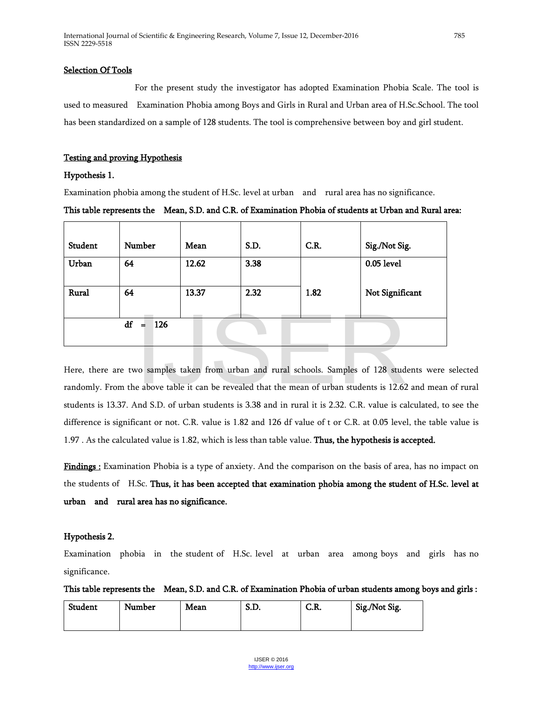#### Selection Of Tools

 For the present study the investigator has adopted Examination Phobia Scale. The tool is used to measured Examination Phobia among Boys and Girls in Rural and Urban area of H.Sc.School. The tool has been standardized on a sample of 128 students. The tool is comprehensive between boy and girl student.

#### Testing and proving Hypothesis

#### Hypothesis 1.

Examination phobia among the student of H.Sc. level at urban and rural area has no significance.

# This table represents the Mean, S.D. and C.R. of Examination Phobia of students at Urban and Rural area:

| Student          | Number | Mean  | S.D. | C.R. | Sig./Not Sig.   |
|------------------|--------|-------|------|------|-----------------|
| Urban            | 64     | 12.62 | 3.38 |      | 0.05 level      |
| Rural            | 64     | 13.37 | 2.32 | 1.82 | Not Significant |
| df<br>126<br>$=$ |        |       |      |      |                 |

Here, there are two samples taken from urban and rural schools. Samples of 128 students were selected randomly. From the above table it can be revealed that the mean of urban students is 12.62 and mean of rural students is 13.37. And S.D. of urban students is 3.38 and in rural it is 2.32. C.R. value is calculated, to see the difference is significant or not. C.R. value is 1.82 and 126 df value of t or C.R. at 0.05 level, the table value is 1.97 . As the calculated value is 1.82, which is less than table value. Thus, the hypothesis is accepted. = 126<br>
vo samples taken from urban and rural schools. Samples of 128 stud<br>
e above table it can be revealed that the mean of urban students is 12.62<br>
and S D of urban students is 3.38 and in rural it is 2.32 C R value is c

Findings : Examination Phobia is a type of anxiety. And the comparison on the basis of area, has no impact on the students of H.Sc. Thus, it has been accepted that examination phobia among the student of H.Sc. level at urban and rural area has no significance.

# Hypothesis 2.

Examination phobia in the student of H.Sc. level at urban area among boys and girls has no significance.

This table represents the Mean, S.D. and C.R. of Examination Phobia of urban students among boys and girls :

| Student | Number | Mean | C T<br>ט.ט. | C.R. | Sig./Not Sig. |
|---------|--------|------|-------------|------|---------------|
|         |        |      |             |      |               |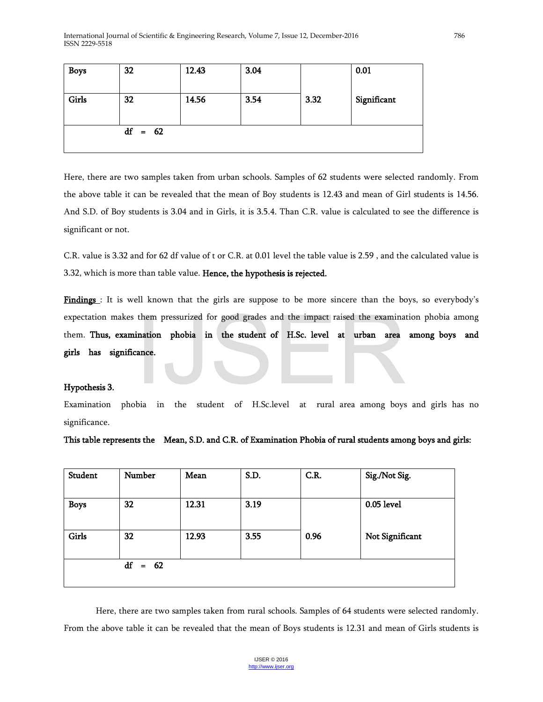| <b>Boys</b> | 32        | 12.43 | 3.04 |      | 0.01        |
|-------------|-----------|-------|------|------|-------------|
| Girls       | 32        | 14.56 | 3.54 | 3.32 | Significant |
|             | $df = 62$ |       |      |      |             |

Here, there are two samples taken from urban schools. Samples of 62 students were selected randomly. From the above table it can be revealed that the mean of Boy students is 12.43 and mean of Girl students is 14.56. And S.D. of Boy students is 3.04 and in Girls, it is 3.5.4. Than C.R. value is calculated to see the difference is significant or not.

C.R. value is 3.32 and for 62 df value of t or C.R. at 0.01 level the table value is 2.59 , and the calculated value is 3.32, which is more than table value. Hence, the hypothesis is rejected.

Findings : It is well known that the girls are suppose to be more sincere than the boys, so everybody's expectation makes them pressurized for good grades and the impact raised the examination phobia among<br>
them. Thus, examination phobia in the student of H.Sc. level at rural area among boys and<br>
Integral among boys and girl them. Thus, examination phobia in the student of H.Sc. level at urban area among boys and girls has significance.

# Hypothesis 3.

Examination phobia in the student of H.Sc.level at rural area among boys and girls has no significance.

This table represents the Mean, S.D. and C.R. of Examination Phobia of rural students among boys and girls:

| Student         | Number | Mean  | S.D. | C.R. | Sig./Not Sig.   |
|-----------------|--------|-------|------|------|-----------------|
| <b>Boys</b>     | 32     | 12.31 | 3.19 |      | 0.05 level      |
| Girls           | 32     | 12.93 | 3.55 | 0.96 | Not Significant |
| df<br>62<br>$=$ |        |       |      |      |                 |

Here, there are two samples taken from rural schools. Samples of 64 students were selected randomly. From the above table it can be revealed that the mean of Boys students is 12.31 and mean of Girls students is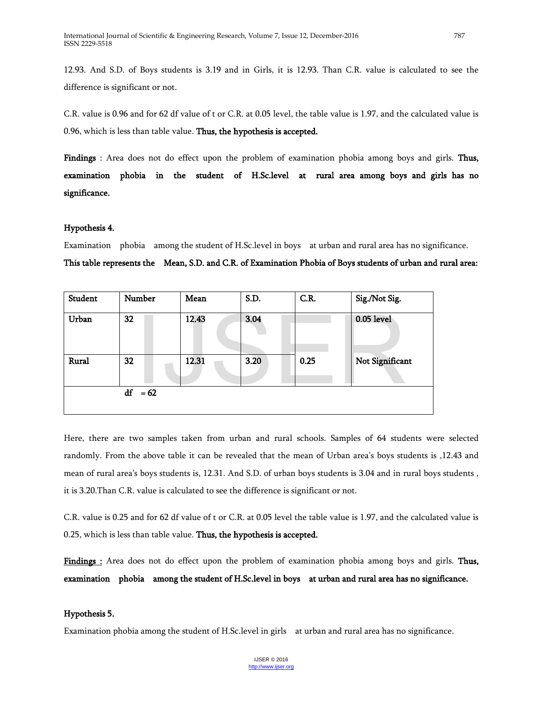12.93. And S.D. of Boys students is 3.19 and in Girls, it is 12.93. Than C.R. value is calculated to see the difference is significant or not.

C.R. value is 0.96 and for 62 df value of t or C.R. at 0.05 level, the table value is 1.97, and the calculated value is 0.96, which is less than table value. Thus, the hypothesis is accepted.

Findings : Area does not do effect upon the problem of examination phobia among boys and girls. Thus, examination phobia in the student of H.Sc.level at rural area among boys and girls has no significance.

# Hypothesis 4.

Examination phobia among the student of H.Sc.level in boys at urban and rural area has no significance.

This table represents the Mean, S.D. and C.R. of Examination Phobia of Boys students of urban and rural area:

| Student | Number       | Mean  | S.D. | C.R. | Sig./Not Sig.   |
|---------|--------------|-------|------|------|-----------------|
| Urban   | 32           | 12.43 | 3.04 |      | 0.05 level      |
| Rural   | 32           | 12.31 | 3.20 | 0.25 | Not Significant |
|         | df<br>$= 62$ |       |      |      |                 |

Here, there are two samples taken from urban and rural schools. Samples of 64 students were selected randomly. From the above table it can be revealed that the mean of Urban area's boys students is ,12.43 and mean of rural area's boys students is, 12.31. And S.D. of urban boys students is 3.04 and in rural boys students , it is 3.20.Than C.R. value is calculated to see the difference is significant or not.

C.R. value is 0.25 and for 62 df value of t or C.R. at 0.05 level the table value is 1.97, and the calculated value is 0.25, which is less than table value. Thus, the hypothesis is accepted.

Findings : Area does not do effect upon the problem of examination phobia among boys and girls. Thus, examination phobia among the student of H.Sc.level in boys at urban and rural area has no significance.

# Hypothesis 5.

Examination phobia among the student of H.Sc.level in girls at urban and rural area has no significance.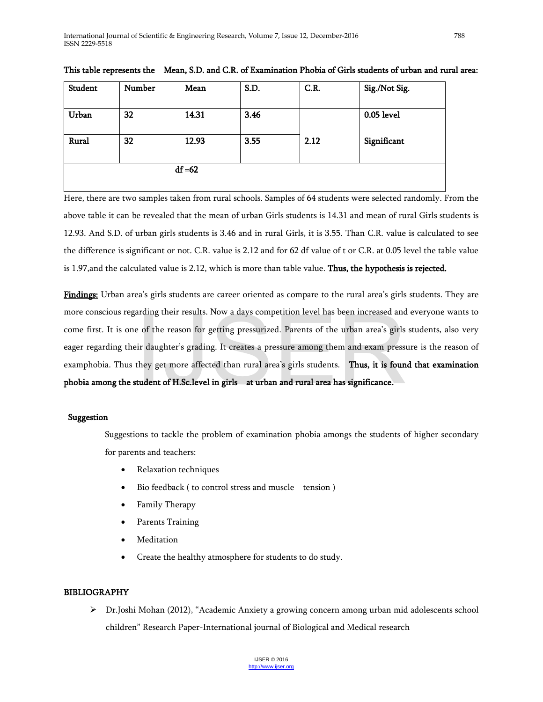| Student   | Number | Mean  | S.D. | C.R. | Sig./Not Sig. |
|-----------|--------|-------|------|------|---------------|
| Urban     | 32     | 14.31 | 3.46 |      | 0.05 level    |
| Rural     | 32     | 12.93 | 3.55 | 2.12 | Significant   |
| $df = 62$ |        |       |      |      |               |

This table represents the Mean, S.D. and C.R. of Examination Phobia of Girls students of urban and rural area:

Here, there are two samples taken from rural schools. Samples of 64 students were selected randomly. From the above table it can be revealed that the mean of urban Girls students is 14.31 and mean of rural Girls students is 12.93. And S.D. of urban girls students is 3.46 and in rural Girls, it is 3.55. Than C.R. value is calculated to see the difference is significant or not. C.R. value is 2.12 and for 62 df value of t or C.R. at 0.05 level the table value is 1.97, and the calculated value is 2.12, which is more than table value. Thus, the hypothesis is rejected.

Findings: Urban area's girls students are career oriented as compare to the rural area's girls students. They are more conscious regarding their results. Now a days competition level has been increased and everyone wants to come first. It is one of the reason for getting pressurized. Parents of the urban area's girls students, also very eager regarding their daughter's grading. It creates a pressure among them and exam pressure is the reason of examphobia. Thus they get more affected than rural area's girls students. Thus, it is found that examination phobia among the student of H.Sc.level in girls at urban and rural area has significance. araing their results. Now a days competition level has been increased and<br>e of the reason for getting pressurized. Parents of the urban area's girls<br>ir daughter's grading. It creates a pressure among them and exam press<br>th

# **Suggestion**

Suggestions to tackle the problem of examination phobia amongs the students of higher secondary for parents and teachers:

- Relaxation techniques
- Bio feedback ( to control stress and muscle tension )
- Family Therapy
- Parents Training
- Meditation
- Create the healthy atmosphere for students to do study.

# BIBLIOGRAPHY

 Dr.Joshi Mohan (2012), "Academic Anxiety a growing concern among urban mid adolescents school children" Research Paper-International journal of Biological and Medical research